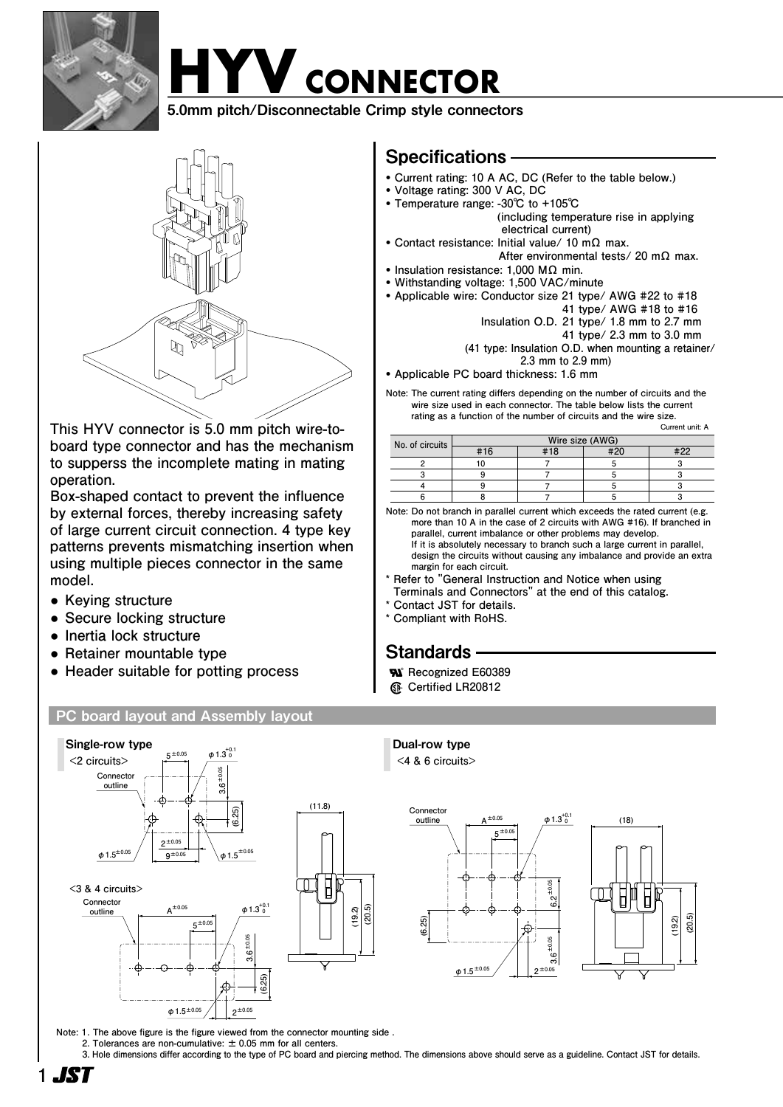

# **HYV CONNECTOR HYV CONNECTOR**

5.0mm pitch/Disconnectable Crimp style connectors 5.0mm pitch/Disconnectable Crimp style connectors



This HYV connector is 5.0 mm pitch wire-to**board type connector and has the mechanism to supperss the incomplete mating in mating operation.**

**Box-shaped contact to prevent the influence by external forces, thereby increasing safety of large current circuit connection. 4 type key patterns prevents mismatching insertion when using multiple pieces connector in the same model.**

**● Keying structure**

**1**

JST.

- **● Secure locking structure**
- **● Inertia lock structure**
- **● Retainer mountable type**
- **● Header suitable for potting process ® ® ®**

#### PC board layout and Assembly layout



**Note: 1. The above figure is the figure viewed from the connector mounting side .**

 **2. Tolerances are non-cumulative: ± 0.05 mm for all centers. 3. Hole dimensions differ according to the type of PC board and piercing method. The dimensions above should serve as a guideline. Contact JST for details.**

**(20.5)**

### Specifications

- **Current rating: 10 A AC, DC (Refer to the table below.)**
- **Voltage rating: 300 V AC, DC**
- **Temperature range: -30℃ to +105℃ (including temperature rise in applying electrical current)**
- **Contact resistance: Initial value/ 10 mΩ max.**
- **After environmental tests/ 20 mΩ max.**
- **Insulation resistance: 1,000 MΩ min.**
- **Withstanding voltage: 1,500 VAC/minute**
- **Applicable wire: Conductor size 21 type/ AWG #22 to #18**
	- **41 type/ AWG #18 to #16**
	- **Insulation O.D. 21 type/ 1.8 mm to 2.7 mm**
		- **41 type/ 2.3 mm to 3.0 mm**
	- **(41 type: Insulation O.D. when mounting a retainer/ 2.3 mm to 2.9 mm)**

• **Applicable PC board thickness: 1.6 mm** 

**Note: The current rating differs depending on the number of circuits and the wire size used in each connector. The table below lists the current rating as a function of the number of circuits and the wire size.**

| Current unit: |  |
|---------------|--|

| No. of circuits | Wire size (AWG) |     |     |     |  |
|-----------------|-----------------|-----|-----|-----|--|
|                 | #16             | #18 | #20 | #22 |  |
|                 |                 |     |     |     |  |
|                 |                 |     |     |     |  |
|                 |                 |     |     |     |  |
|                 |                 |     |     |     |  |

**Note: Do not branch in parallel current which exceeds the rated current (e.g. more than 10 A in the case of 2 circuits with AWG #16). If branched in parallel, current imbalance or other problems may develop. If it is absolutely necessary to branch such a large current in parallel, design the circuits without causing any imbalance and provide an extra margin for each circuit.**

- **\* Refer to "General Instruction and Notice when using**
- **Terminals and Connectors" at the end of this catalog.**
- Contact JST for details. **\* Compliant with RoHS.**

## Standards

- **Rand Recognized E60389**
- **Certified LR20812**
- 

**<4 & 6 circuits>**

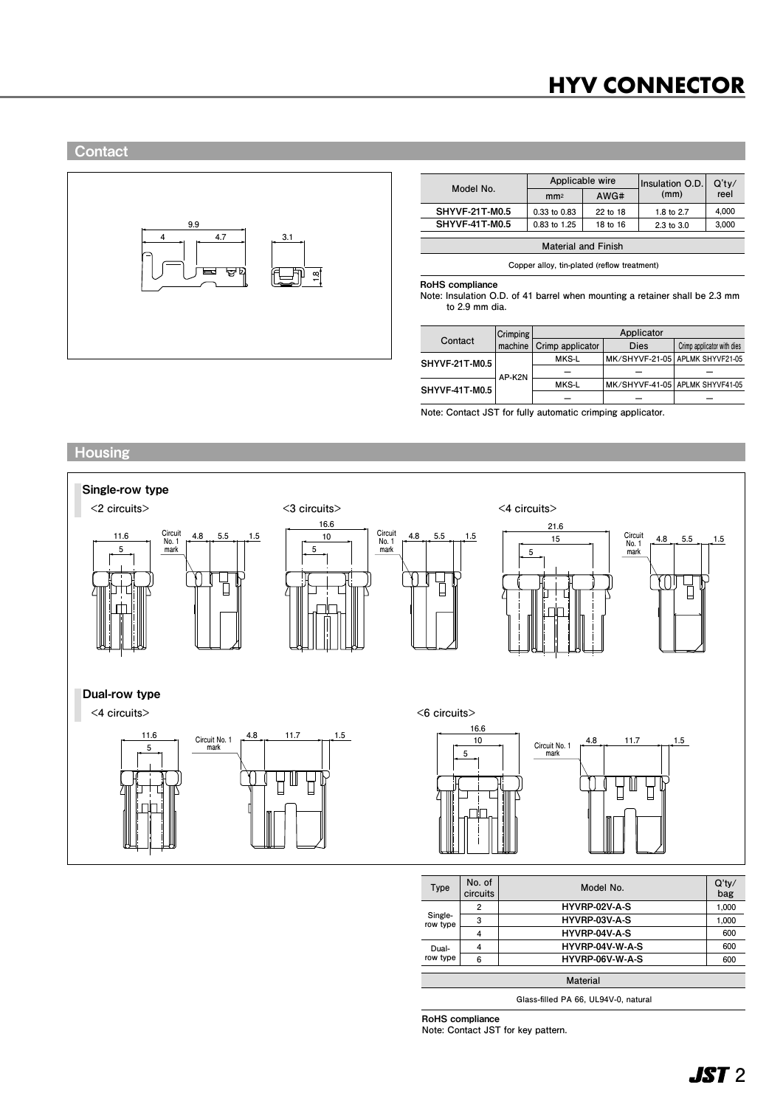## **HYV CONNECTOR**



**Housing** 



| Model No.                  | Applicable wire |          | Insulation O.D. | Q'tv/ |  |
|----------------------------|-----------------|----------|-----------------|-------|--|
|                            | mm <sub>2</sub> | AWG#     | (mm)            | reel  |  |
| <b>SHYVF-21T-M0.5</b>      | 0.33 to 0.83    | 22 to 18 | 1.8 to 2.7      | 4.000 |  |
| <b>SHYVF-41T-M0.5</b>      | 0.83 to 1.25    | 18 to 16 | 2.3 to 3.0      | 3.000 |  |
|                            |                 |          |                 |       |  |
| <b>Material and Finish</b> |                 |          |                 |       |  |

**Copper alloy, tin-plated (reflow treatment)**

#### RoHS compliance

**Note: Insulation O.D. of 41 barrel when mounting a retainer shall be 2.3 mm to 2.9 mm dia.**

|                       | Crimping | Applicator       |             |                                 |  |
|-----------------------|----------|------------------|-------------|---------------------------------|--|
| Contact               | machine  | Crimp applicator | <b>Dies</b> | Crimp applicator with dies      |  |
| <b>SHYVF-21T-M0.5</b> |          | MKS-L            |             | MK/SHYVF-21-05 APLMK SHYVF21-05 |  |
|                       | AP-K2N   |                  |             |                                 |  |
| <b>SHYVF-41T-M0.5</b> |          | MKS-L            |             | MK/SHYVF-41-05 APLMK SHYVF41-05 |  |
|                       |          |                  |             |                                 |  |

**Note: Contact JST for fully automatic crimping applicator.**

#### Single-row type **<2 circuits> <3 circuits> <4 circuits> 16.6 圧着機・アプリケータ表-2 21.6 11.6 Circuit No. 1 mark 10 Circuit No. 1 mark 4.8 5.5 1.5 4.8 5.5 1.5 4.8 5.5 1.5 15 Circuit No. 1 mark 5 5 5**  $\overline{\mathbb{I}}$ ۱) TM Ŧ ₫ Dual-row type **<4 circuits> <6 circuits>16.6 11.6 Circuit No. 1 4.8 11.7 1.5 4.8 11.7 1.5 10 mark Circuit No. 1 mark 5 5**

| Type                                 | No. of<br>circuits | Model No.       | $Q'$ ty/<br>bag |  |  |
|--------------------------------------|--------------------|-----------------|-----------------|--|--|
|                                      | $\overline{c}$     | HYVRP-02V-A-S   | 1,000           |  |  |
| Single-<br>row type                  | 3                  | HYVRP-03V-A-S   | 1,000           |  |  |
|                                      | 4                  | HYVRP-04V-A-S   | 600             |  |  |
| Dual-                                | 4                  | HYVRP-04V-W-A-S | 600             |  |  |
| row type                             | 6                  | HYVRP-06V-W-A-S | 600             |  |  |
|                                      | <b>Material</b>    |                 |                 |  |  |
| Glass-filled PA 66, UL94V-0, natural |                    |                 |                 |  |  |

RoHS compliance

**Note: Contact JST for key pattern.**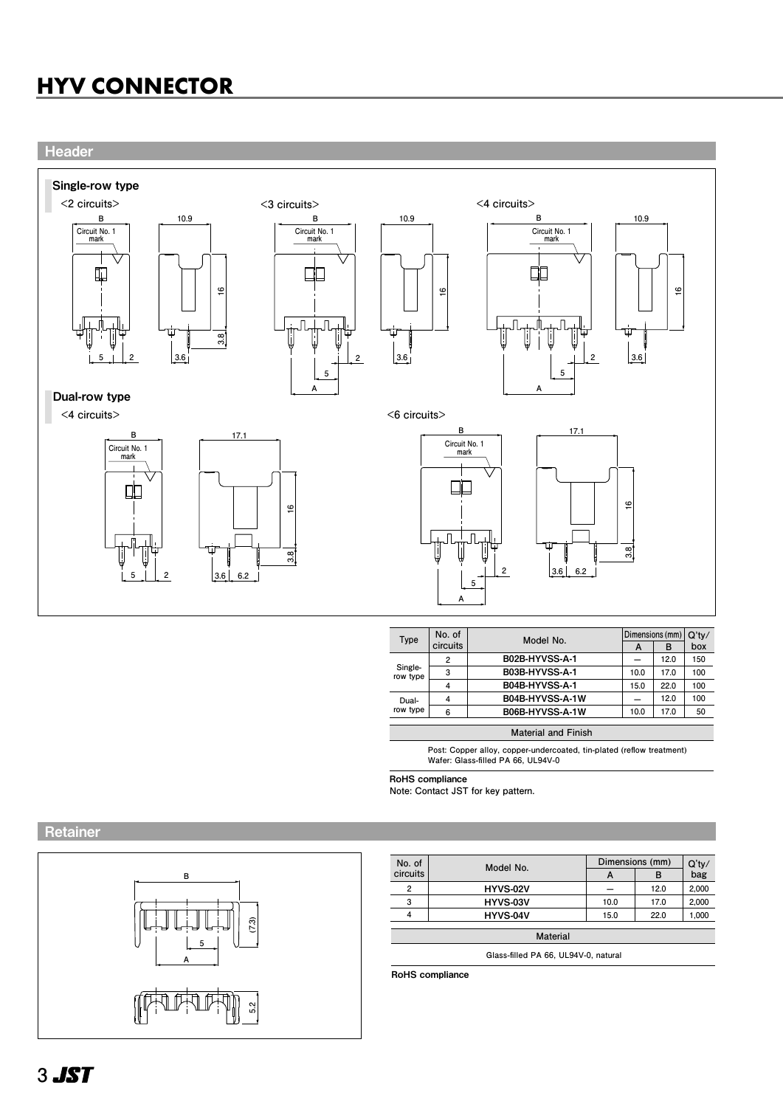# **HYV CONNECTOR HYV CONNECTOR**

Header



| Type                | No. of   | Model No.       | Dimensions (mm) |      | Q'tv/ |
|---------------------|----------|-----------------|-----------------|------|-------|
|                     | circuits |                 | A               | в    | box   |
| Single-<br>row type | 2        | B02B-HYVSS-A-1  |                 | 12.0 | 150   |
|                     | 3        | B03B-HYVSS-A-1  | 10.0            | 17.0 | 100   |
|                     |          | B04B-HYVSS-A-1  | 15.0            | 22.0 | 100   |
| Dual-<br>row type   |          | B04B-HYVSS-A-1W |                 | 12.0 | 100   |
|                     | 6        | B06B-HYVSS-A-1W | 10.0            | 17.0 | 50    |
|                     |          |                 |                 |      |       |

#### **Material and Finish**

**Post: Copper alloy, copper-undercoated, tin-plated (reflow treatment) Wafer: Glass-filled PA 66, UL94V-0**

RoHS compliance

**Note: Contact JST for key pattern.**



| No. of          | Model No. | Dimensions (mm) | $Q'$ ty/ |       |  |  |
|-----------------|-----------|-----------------|----------|-------|--|--|
| circuits        |           | A               | в        | bag   |  |  |
| 2               | HYVS-02V  |                 | 12.0     | 2,000 |  |  |
| 3               | HYVS-03V  | 10.0            | 17.0     | 2,000 |  |  |
| 4               | HYVS-04V  | 15.0            | 22.0     | 1,000 |  |  |
|                 |           |                 |          |       |  |  |
| <b>Material</b> |           |                 |          |       |  |  |

**Glass-filled PA 66, UL94V-0, natural**

RoHS compliance

Retainer